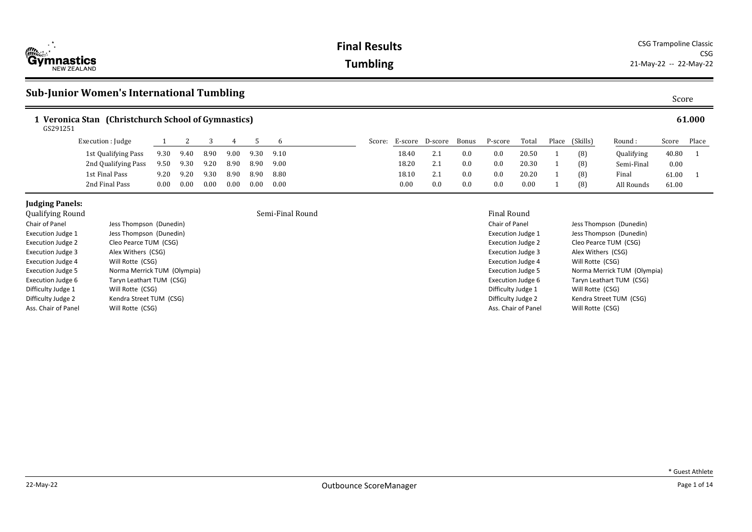

**Final Results** CSG Trampoline Classic CSG **Tumbling** 21-May-22 -- 22-May-22

# **Sub-Junior Women's International Tumbling**

| 1 Veronica Stan (Christchurch School of Gymnastics)<br>GS291251 |                     |          |      |      |      |      |      |        |         |         |       | 61.000  |       |       |          |            |       |       |
|-----------------------------------------------------------------|---------------------|----------|------|------|------|------|------|--------|---------|---------|-------|---------|-------|-------|----------|------------|-------|-------|
|                                                                 | Execution : Judge   |          |      |      |      |      |      | Score: | E-score | D-score | Bonus | P-score | Total | Place | (Skills) | Round:     | Score | Place |
|                                                                 | 1st Qualifying Pass | 9.30     | 9.40 | 8.90 | 9.00 | 9.30 | 9.10 |        | 18.40   | 2.1     | 0.0   | 0.0     | 20.50 |       | (8)      | Qualifying | 40.80 |       |
|                                                                 | 2nd Qualifying Pass | 9.50     | 9.30 | 9.20 | 8.90 | 8.90 | 9.00 |        | 18.20   | 2.1     | 0.0   | 0.0     | 20.30 |       | (8)      | Semi-Final | 0.00  |       |
|                                                                 | 1st Final Pass      | 9.20     | 9.20 | 9.30 | 8.90 | 8.90 | 8.80 |        | 18.10   | 2.1     | 0.0   | 0.0     | 20.20 |       | (8)      | Final      | 61.00 |       |
|                                                                 | 2nd Final Pass      | $0.00\,$ | 0.00 | 0.00 | 0.00 | 0.00 | 0.00 |        | 0.00    | 0.0     | 0.0   | 0.0     | 0.00  |       | (8)      | All Rounds | 61.00 |       |

## **Judging Panels:**<br>Oualifying Round

| yuuniying nounu          |                             |
|--------------------------|-----------------------------|
| Chair of Panel           | Jess Thompson (Dunedin)     |
| Execution Judge 1        | Jess Thompson (Dunedin)     |
| Execution Judge 2        | Cleo Pearce TUM (CSG)       |
| <b>Execution Judge 3</b> | Alex Withers (CSG)          |
| <b>Execution Judge 4</b> | Will Rotte (CSG)            |
| <b>Execution Judge 5</b> | Norma Merrick TUM (Olympia) |
| <b>Execution Judge 6</b> | Taryn Leathart TUM (CSG)    |
| Difficulty Judge 1       | Will Rotte (CSG)            |
| Difficulty Judge 2       | Kendra Street TUM (CSG)     |
| Ass. Chair of Panel      | Will Rotte (CSG)            |

### Semi-Final Round Final Round Final Round Final Round Final Round Final Round Final Round Final Round Final Round Final Round Final Round Final Round Final Round Round Final Round Round Round Round Round Round Round Round R

| Final Round              |                             |
|--------------------------|-----------------------------|
| Chair of Panel           | Jess Thompson (Dunedin)     |
| <b>Execution Judge 1</b> | Jess Thompson (Dunedin)     |
| <b>Execution Judge 2</b> | Cleo Pearce TUM (CSG)       |
| Execution Judge 3        | Alex Withers (CSG)          |
| <b>Execution Judge 4</b> | Will Rotte (CSG)            |
| <b>Execution Judge 5</b> | Norma Merrick TUM (Olympia) |
| <b>Execution Judge 6</b> | Taryn Leathart TUM (CSG)    |
| Difficulty Judge 1       | Will Rotte (CSG)            |
| Difficulty Judge 2       | Kendra Street TUM (CSG)     |
| Ass. Chair of Panel      | Will Rotte (CSG)            |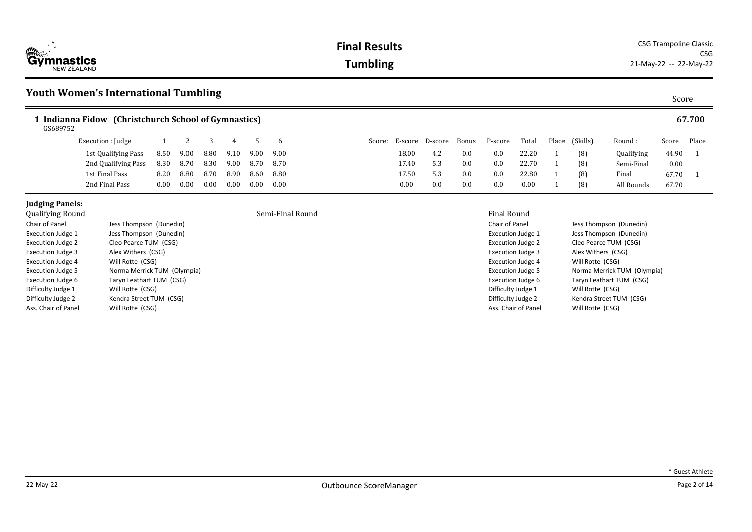**Final Results** CSG Trampoline Classic CSG **Tumbling** 21-May-22 -- 22-May-22

# **Youth Women's International Tumbling** Score

| Indianna Fidow<br>GS689752 | (Christchurch School of Gymnastics) |      |      |      |      |      |      |        |          |         |       |         |       |       |          |                   |       | 67.700 |
|----------------------------|-------------------------------------|------|------|------|------|------|------|--------|----------|---------|-------|---------|-------|-------|----------|-------------------|-------|--------|
|                            | Execution : Judge                   |      |      |      |      |      |      | Score: | E-score  | D-score | Bonus | P-score | Total | Place | (Skills) | Round:            | Score | Place  |
|                            | 1st Qualifying Pass                 | 8.50 | 9.00 | 8.80 | 9.10 | 9.00 | 9.00 |        | 18.00    | 4.2     | 0.0   | 0.0     | 22.20 |       | (8)      | <b>Qualifying</b> | 44.90 |        |
|                            | 2nd Qualifying Pass                 | 8.30 | 8.70 | 8.30 | 9.00 | 8.70 | 8.70 |        | 17.40    | 5.3     | 0.0   | 0.0     | 22.70 |       | (8)      | Semi-Final        | 0.00  |        |
|                            | 1st Final Pass                      | 8.20 | 8.80 | 8.70 | 8.90 | 8.60 | 8.80 |        | 17.50    | 5.3     | 0.0   | 0.0     | 22.80 |       | (8)      | Final             | 67.70 |        |
|                            | 2nd Final Pass                      | 0.00 | 0.00 | 0.00 | 0.00 | 0.00 | 0.00 |        | $0.00\,$ | 0.0     | 0.0   | 0.0     | 0.00  |       | (8)      | All Rounds        | 67.70 |        |

# **Judging Panels:**<br>Oualifying Round

| yuuniying nounu          |                             |
|--------------------------|-----------------------------|
| Chair of Panel           | Jess Thompson (Dunedin)     |
| <b>Execution Judge 1</b> | Jess Thompson (Dunedin)     |
| <b>Execution Judge 2</b> | Cleo Pearce TUM (CSG)       |
| <b>Execution Judge 3</b> | Alex Withers (CSG)          |
| <b>Execution Judge 4</b> | Will Rotte (CSG)            |
| <b>Execution Judge 5</b> | Norma Merrick TUM (Olympia) |
| <b>Execution Judge 6</b> | Taryn Leathart TUM (CSG)    |
| Difficulty Judge 1       | Will Rotte (CSG)            |
| Difficulty Judge 2       | Kendra Street TUM (CSG)     |
| Ass. Chair of Panel      | Will Rotte (CSG)            |

### Semi-Final Round Final Round Final Round Final Round Final Round Final Round Final Round Final Round Final Round Final Round Final Round Final Round Final Round Round Final Round Round Round Round Round Round Round Round R

| Final Round              |                             |
|--------------------------|-----------------------------|
| Chair of Panel           | Jess Thompson (Dunedin)     |
| <b>Execution Judge 1</b> | Jess Thompson (Dunedin)     |
| <b>Execution Judge 2</b> | Cleo Pearce TUM (CSG)       |
| <b>Execution Judge 3</b> | Alex Withers (CSG)          |
| <b>Execution Judge 4</b> | Will Rotte (CSG)            |
| <b>Execution Judge 5</b> | Norma Merrick TUM (Olympia) |
| Execution Judge 6        | Taryn Leathart TUM (CSG)    |
| Difficulty Judge 1       | Will Rotte (CSG)            |
| Difficulty Judge 2       | Kendra Street TUM (CSG)     |
| Ass. Chair of Panel      | Will Rotte (CSG)            |
|                          |                             |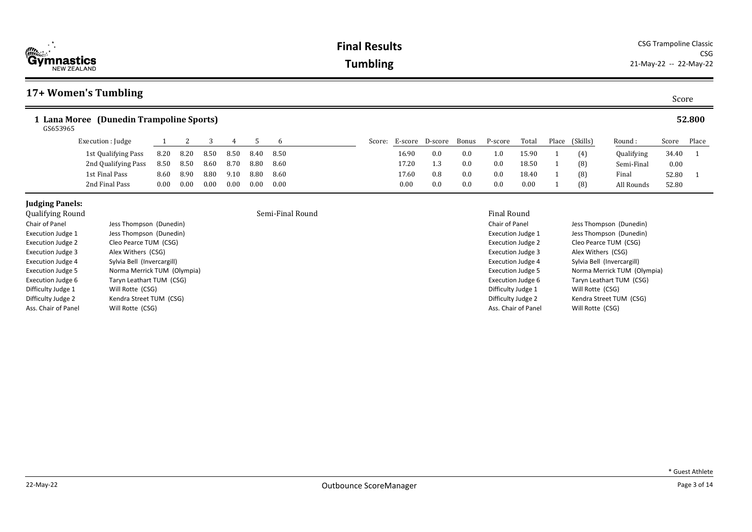| 17+ Women's Tumbling                                 |      |      |      |      |      |      |                        |     |       |         |       |                |            | Score    |        |
|------------------------------------------------------|------|------|------|------|------|------|------------------------|-----|-------|---------|-------|----------------|------------|----------|--------|
| L Lana Moree (Dunedin Trampoline Sports)<br>GS653965 |      |      |      |      |      |      |                        |     |       |         |       |                |            |          | 52.800 |
| Execution : Judge                                    |      |      |      |      |      | 6    | Score: E-score D-score |     | Bonus | P-score | Total | Place (Skills) | Round:     | Score    | Place  |
| 1st Qualifying Pass                                  | 8.20 | 8.20 | 8.50 | 8.50 | 8.40 | 8.50 | 16.90                  | 0.0 | 0.0   | 1.0     | 15.90 | (4)            | Qualifying | 34.40    |        |
| 2nd Qualifying Pass                                  | 8.50 | 8.50 | 8.60 | 8.70 | 8.80 | 8.60 | 17.20                  | 1.3 | 0.0   | 0.0     | 18.50 | (8)            | Semi-Final | $0.00\,$ |        |
| 1st Final Pass                                       | 8.60 | 8.90 | 8.80 | 9.10 | 8.80 | 8.60 | 17.60                  | 0.8 | 0.0   | 0.0     | 18.40 | (8)            | Final      | 52.80    |        |
| 2nd Final Pass                                       | 0.00 | 0.00 | 0.00 | 0.00 | 0.00 | 0.00 | 0.00                   | 0.0 | 0.0   | 0.0     | 0.00  | (8)            | All Rounds | 52.80    |        |

## **Judging Panels:**<br>Oualifying Round

| Qualitying Round         |                             |
|--------------------------|-----------------------------|
| Chair of Panel           | Jess Thompson (Dunedin)     |
| <b>Execution Judge 1</b> | Jess Thompson (Dunedin)     |
| <b>Execution Judge 2</b> | Cleo Pearce TUM (CSG)       |
| <b>Execution Judge 3</b> | Alex Withers (CSG)          |
| <b>Execution Judge 4</b> | Sylvia Bell (Invercargill)  |
| <b>Execution Judge 5</b> | Norma Merrick TUM (Olympia) |
| Execution Judge 6        | Taryn Leathart TUM (CSG)    |
| Difficulty Judge 1       | Will Rotte (CSG)            |
| Difficulty Judge 2       | Kendra Street TUM (CSG)     |
| Ass. Chair of Panel      | Will Rotte (CSG)            |

\* Guest Athlete

### **Final Results** CSG Trampoline Classic CSG **Tumbling** 21-May-22 -- 22-May-22

### Semi-Final Round **Final Round** Final Round Final Round

### Chair of Panel Jess Thompson (Dunedin) Execution Judge 1 Jess Thompson (Dunedin) Execution Judge 2 Cleo Pearce TUM (CSG) Execution Judge 3 Alex Withers (CSG) Execution Judge 4 Sylvia Bell (Invercargill) Execution Judge 5 Norma Merrick TUM (Olympia)

Execution Judge 6 Taryn Leathart TUM (CSG) Difficulty Judge 1 Will Rotte (CSG) Difficulty Judge 2 Kendra Street TUM (CSG)<br>Ass. Chair of Panel Will Rotte (CSG)

Will Rotte (CSG)

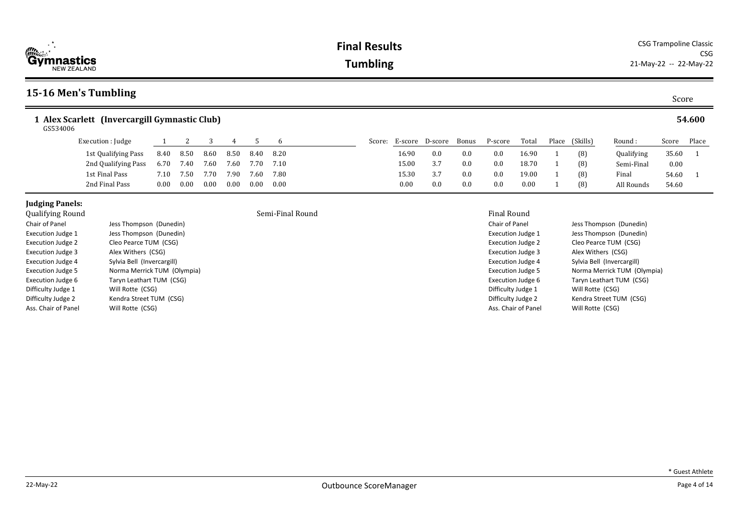| 15-16 Men's Tumbling                                      |      |      |      |      |      |      |        |       |                 |       |         |       |                |            | Score    |        |
|-----------------------------------------------------------|------|------|------|------|------|------|--------|-------|-----------------|-------|---------|-------|----------------|------------|----------|--------|
| 1 Alex Scarlett (Invercargill Gymnastic Club)<br>GS534006 |      |      |      |      |      |      |        |       |                 |       |         |       |                |            |          | 54.600 |
| Execution : Judge                                         |      |      |      |      |      | h    | Score: |       | E-score D-score | Bonus | P-score | Total | Place (Skills) | Round:     | Score    | Place  |
| 1st Qualifying Pass                                       | 8.40 | 8.50 | 8.60 | 8.50 | 8.40 | 8.20 |        | 16.90 | 0.0             | 0.0   | 0.0     | 16.90 | (8)            | Qualifying | 35.60 1  |        |
| 2nd Qualifying Pass                                       | 6.70 | 7.40 | 7.60 | 7.60 | 7.70 | 7.10 |        | 15.00 | 3.7             | 0.0   | 0.0     | 18.70 | (8)            | Semi-Final | $0.00\,$ |        |
| 1st Final Pass                                            | 7.10 | 7.50 | 7.70 | 7.90 | 7.60 | 7.80 |        | 15.30 | 3.7             | 0.0   | 0.0     | 19.00 | (8)            | Final      | 54.60 1  |        |
| 2nd Final Pass                                            | 0.00 | 0.00 | 0.00 | 0.00 | 0.00 | 0.00 |        | 0.00  | 0.0             | 0.0   | 0.0     | 0.00  | (8)            | All Rounds | 54.60    |        |

| <b>Qualitying Round</b>  |                             |
|--------------------------|-----------------------------|
| Chair of Panel           | Jess Thompson (Dunedin)     |
| Execution Judge 1        | Jess Thompson (Dunedin)     |
| <b>Execution Judge 2</b> | Cleo Pearce TUM (CSG)       |
| Execution Judge 3        | Alex Withers (CSG)          |
| <b>Execution Judge 4</b> | Sylvia Bell (Invercargill)  |
| <b>Execution Judge 5</b> | Norma Merrick TUM (Olympia) |
| <b>Execution Judge 6</b> | Taryn Leathart TUM (CSG)    |
| Difficulty Judge 1       | Will Rotte (CSG)            |
| Difficulty Judge 2       | Kendra Street TUM (CSG)     |
| Ass. Chair of Panel      | Will Rotte (CSG)            |

## Semi-Final Round **Semi-Final Round Final Round**

Chair of Panel Jess Thompson (Dunedin) Execution Judge 1 Jess Thompson (Dunedin) Execution Judge 2 Cleo Pearce TUM (CSG) Execution Judge 3 Alex Withers (CSG) Execution Judge 4 Sylvia Bell (Invercargill) Execution Judge 5 Norma Merrick TUM (Olympia) Execution Judge 6 Taryn Leathart TUM (CSG) Difficulty Judge 1 Will Rotte (CSG) Difficulty Judge 2 Kendra Street TUM (CSG) Ass. Chair of Panel Will Rotte (CSG)



Score Place 35.60 1 0.00 54.60 1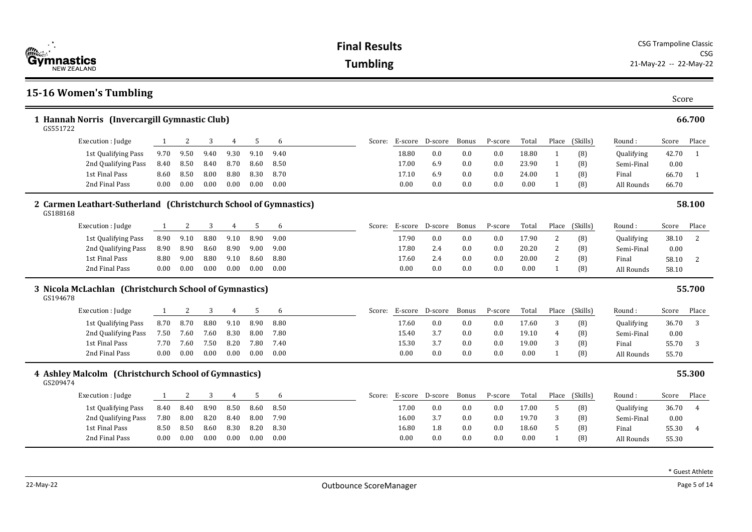| <i>。</i><br>Gymnastics                                                       |          | <b>Final Results</b> |      |                |      |      |  |                 |                 |                        |       | <b>CSG Trampoline Classic</b><br><b>CSG</b> |       |                |                |            |                        |                |
|------------------------------------------------------------------------------|----------|----------------------|------|----------------|------|------|--|-----------------|-----------------|------------------------|-------|---------------------------------------------|-------|----------------|----------------|------------|------------------------|----------------|
| <b>NEW ZEALAND</b>                                                           |          |                      |      |                |      |      |  | <b>Tumbling</b> |                 |                        |       |                                             |       |                |                |            | 21-May-22 -- 22-May-22 |                |
| <b>15-16 Women's Tumbling</b>                                                |          |                      |      |                |      |      |  |                 |                 |                        |       |                                             |       |                |                |            | Score                  |                |
| 1 Hannah Norris (Invercargill Gymnastic Club)<br>GS551722                    |          |                      |      |                |      |      |  |                 |                 |                        |       |                                             |       |                |                |            |                        | 66.700         |
| Execution : Judge                                                            | 1        | 2                    | 3    | 4              | 5    | 6    |  | Score:          |                 | E-score D-score        | Bonus | P-score                                     | Total | Place          | (Skills)       | Round:     | Score                  | Place          |
| 1st Qualifying Pass                                                          | 9.70     | 9.50                 | 9.40 | 9.30           | 9.10 | 9.40 |  |                 | 18.80           | 0.0                    | 0.0   | 0.0                                         | 18.80 | 1              | (8)            | Qualifying | 42.70                  | $\mathbf{1}$   |
| 2nd Qualifying Pass                                                          | 8.40     | 8.50                 | 8.40 | 8.70           | 8.60 | 8.50 |  |                 | 17.00           | 6.9                    | 0.0   | 0.0                                         | 23.90 | 1              | (8)            | Semi-Final | 0.00                   |                |
| 1st Final Pass                                                               | 8.60     | 8.50                 | 8.00 | 8.80           | 8.30 | 8.70 |  |                 | 17.10           | 6.9                    | 0.0   | 0.0                                         | 24.00 | $\mathbf{1}$   | (8)            | Final      | 66.70                  | 1              |
| 2nd Final Pass                                                               | $0.00\,$ | 0.00                 | 0.00 | 0.00           | 0.00 | 0.00 |  |                 | 0.00            | 0.0                    | 0.0   | 0.0                                         | 0.00  | $\mathbf{1}$   | (8)            | All Rounds | 66.70                  |                |
| 2 Carmen Leathart-Sutherland (Christchurch School of Gymnastics)<br>GS188168 |          |                      |      |                |      |      |  |                 |                 |                        |       |                                             |       |                |                |            |                        | 58.100         |
| Execution : Judge                                                            | -1       | 2                    | 3    | 4              | 5    | 6    |  | Score:          |                 | E-score D-score        | Bonus | P-score                                     | Total | Place          | (Skills)       | Round:     | Score                  | Place          |
| 1st Qualifying Pass                                                          | 8.90     | 9.10                 | 8.80 | 9.10           | 8.90 | 9.00 |  |                 | 17.90           | 0.0                    | 0.0   | 0.0                                         | 17.90 | 2              | (8)            | Qualifying | 38.10                  | 2              |
| 2nd Qualifying Pass                                                          | 8.90     | 8.90                 | 8.60 | 8.90           | 9.00 | 9.00 |  |                 | 17.80           | 2.4                    | 0.0   | 0.0                                         | 20.20 | $\mathbf{2}$   | (8)            | Semi-Final | 0.00                   |                |
| 1st Final Pass                                                               | 8.80     | 9.00                 | 8.80 | 9.10           | 8.60 | 8.80 |  |                 | 17.60           | 2.4                    | 0.0   | 0.0                                         | 20.00 | 2              | (8)            | Final      | 58.10                  | 2              |
| 2nd Final Pass                                                               | $0.00\,$ | 0.00                 | 0.00 | 0.00           | 0.00 | 0.00 |  |                 | 0.00            | 0.0                    | 0.0   | 0.0                                         | 0.00  | $\mathbf{1}$   | (8)            | All Rounds | 58.10                  |                |
| 3 Nicola McLachlan (Christchurch School of Gymnastics)<br>GS194678           |          |                      |      |                |      |      |  |                 |                 |                        |       |                                             |       |                |                |            |                        | 55.700         |
| Execution : Judge                                                            | 1        | 2                    | 3    | 4              | 5    | 6    |  |                 |                 | Score: E-score D-score | Bonus | P-score                                     | Total |                | Place (Skills) | Round :    | Score                  | Place          |
| 1st Qualifying Pass                                                          | 8.70     | 8.70                 | 8.80 | 9.10           | 8.90 | 8.80 |  |                 | 17.60           | 0.0                    | 0.0   | 0.0                                         | 17.60 | 3              | (8)            | Qualifying | 36.70                  | 3              |
| 2nd Qualifying Pass                                                          | 7.50     | 7.60                 | 7.60 | 8.30           | 8.00 | 7.80 |  |                 | 15.40           | 3.7                    | 0.0   | 0.0                                         | 19.10 | $\overline{4}$ | (8)            | Semi-Final | 0.00                   |                |
| 1st Final Pass                                                               | 7.70     | 7.60                 | 7.50 | 8.20           | 7.80 | 7.40 |  |                 | 15.30           | 3.7                    | 0.0   | 0.0                                         | 19.00 | 3              | (8)            | Final      | 55.70                  | 3              |
| 2nd Final Pass                                                               | 0.00     | 0.00                 | 0.00 | 0.00           | 0.00 | 0.00 |  |                 | 0.00            | 0.0                    | 0.0   | 0.0                                         | 0.00  | $\mathbf{1}$   | (8)            | All Rounds | 55.70                  |                |
| 4 Ashley Malcolm (Christchurch School of Gymnastics)<br>GS209474             |          |                      |      |                |      |      |  |                 |                 |                        |       |                                             |       |                |                |            |                        | 55.300         |
| Execution : Judge                                                            | 1        | $\overline{c}$       | 3    | $\overline{4}$ | 5    | 6    |  | Score:          | E-score D-score |                        | Bonus | P-score                                     | Total | Place          | (Skills)       | Round :    | Score                  | Place          |
| 1st Qualifying Pass                                                          | 8.40     | 8.40                 | 8.90 | 8.50           | 8.60 | 8.50 |  |                 | 17.00           | 0.0                    | 0.0   | 0.0                                         | 17.00 | 5              | (8)            | Qualifying | 36.70                  | $\overline{4}$ |
| 2nd Qualifying Pass                                                          | 7.80     | 8.00                 | 8.20 | 8.40           | 8.00 | 7.90 |  |                 | 16.00           | 3.7                    | 0.0   | 0.0                                         | 19.70 | 3              | (8)            | Semi-Final | 0.00                   |                |
| 1st Final Pass                                                               | 8.50     | 8.50                 | 8.60 | 8.30           | 8.20 | 8.30 |  |                 | 16.80           | 1.8                    | 0.0   | 0.0                                         | 18.60 | 5              | (8)            | Final      | 55.30                  | $\overline{4}$ |
| 2nd Final Pass                                                               | 0.00     | 0.00                 | 0.00 | 0.00           | 0.00 | 0.00 |  |                 | 0.00            | 0.0                    | 0.0   | 0.0                                         | 0.00  | $\mathbf{1}$   | (8)            | All Rounds | 55.30                  |                |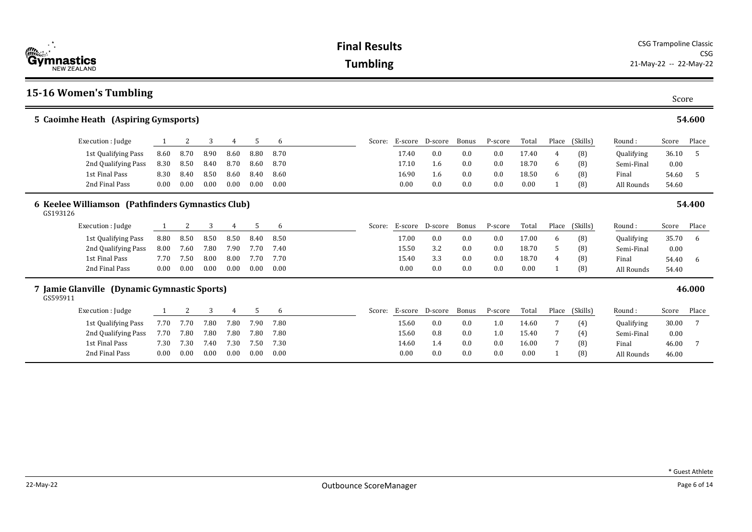| <b>CONTRACTOR</b><br><b>Gymnastics</b><br><b>NEW ZEALAND</b>  | <b>I IIIAI IICONILO</b><br><b>Tumbling</b> |      |      |                |      |      |  |        |                        |                        |       |         | <b>CSG</b><br>21-May-22 -- 22-May-22 |              |          |            |       |        |
|---------------------------------------------------------------|--------------------------------------------|------|------|----------------|------|------|--|--------|------------------------|------------------------|-------|---------|--------------------------------------|--------------|----------|------------|-------|--------|
| <b>15-16 Women's Tumbling</b>                                 |                                            |      |      |                |      |      |  |        |                        |                        |       |         |                                      |              |          |            | Score |        |
| 5 Caoimhe Heath (Aspiring Gymsports)                          |                                            |      |      |                |      |      |  |        |                        |                        |       |         |                                      |              |          |            |       | 54.600 |
| Execution : Judge                                             | 1                                          | 2    | 3    | 4              | 5    | 6    |  |        | Score: E-score D-score |                        | Bonus | P-score | Total                                | Place        | (Skills) | Round:     | Score | Place  |
| 1st Qualifying Pass                                           | 8.60                                       | 8.70 | 8.90 | 8.60           | 8.80 | 8.70 |  |        | 17.40                  | 0.0                    | 0.0   | 0.0     | 17.40                                | 4            | (8)      | Qualifying | 36.10 | -5     |
| 2nd Qualifying Pass                                           | 8.30                                       | 8.50 | 8.40 | 8.70           | 8.60 | 8.70 |  |        | 17.10                  | 1.6                    | 0.0   | 0.0     | 18.70                                | 6            | (8)      | Semi-Final | 0.00  |        |
| 1st Final Pass                                                | 8.30                                       | 8.40 | 8.50 | 8.60           | 8.40 | 8.60 |  |        | 16.90                  | 1.6                    | 0.0   | 0.0     | 18.50                                | 6            | (8)      | Final      | 54.60 | -5     |
| 2nd Final Pass                                                | 0.00                                       | 0.00 | 0.00 | 0.00           | 0.00 | 0.00 |  |        | 0.00                   | 0.0                    | 0.0   | 0.0     | 0.00                                 |              | (8)      | All Rounds | 54.60 |        |
| 6 Keelee Williamson (Pathfinders Gymnastics Club)<br>GS193126 |                                            |      |      |                |      |      |  |        |                        |                        |       |         |                                      |              |          |            |       | 54.400 |
| Execution : Judge                                             | 1                                          | 2    | 3    | 4              | 5    | 6    |  | Score: | E-score                | D-score                | Bonus | P-score | Total                                | Place        | (Skills) | Round:     | Score | Place  |
| 1st Qualifying Pass                                           | 8.80                                       | 8.50 | 8.50 | 8.50           | 8.40 | 8.50 |  |        | 17.00                  | 0.0                    | 0.0   | 0.0     | 17.00                                | 6            | (8)      | Qualifying | 35.70 | 6      |
| 2nd Qualifying Pass                                           | 8.00                                       | 7.60 | 7.80 | 7.90           | 7.70 | 7.40 |  |        | 15.50                  | 3.2                    | 0.0   | 0.0     | 18.70                                | 5            | (8)      | Semi-Final | 0.00  |        |
| 1st Final Pass                                                | 7.70                                       | 7.50 | 8.00 | 8.00           | 7.70 | 7.70 |  |        | 15.40                  | 3.3                    | 0.0   | 0.0     | 18.70                                | 4            | (8)      | Final      | 54.40 | -6     |
| 2nd Final Pass                                                | 0.00                                       | 0.00 | 0.00 | 0.00           | 0.00 | 0.00 |  |        | 0.00                   | 0.0                    | 0.0   | 0.0     | 0.00                                 |              | (8)      | All Rounds | 54.40 |        |
| 7 Jamie Glanville (Dynamic Gymnastic Sports)<br>GS595911      |                                            |      |      |                |      |      |  |        |                        |                        |       |         |                                      |              |          |            |       | 46.000 |
| Execution : Judge                                             | 1                                          | 2    | 3    | $\overline{4}$ | 5    | 6    |  |        |                        | Score: E-score D-score | Bonus | P-score | Total                                | Place        | (Skills) | Round:     | Score | Place  |
| 1st Qualifying Pass                                           | 7.70                                       | 7.70 | 7.80 | 7.80           | 7.90 | 7.80 |  |        | 15.60                  | 0.0                    | 0.0   | 1.0     | 14.60                                | 7            | (4)      | Qualifying | 30.00 | 7      |
| 2nd Qualifying Pass                                           | 7.70                                       | 7.80 | 7.80 | 7.80           | 7.80 | 7.80 |  |        | 15.60                  | 0.8                    | 0.0   | 1.0     | 15.40                                | 7            | (4)      | Semi-Final | 0.00  |        |
| 1st Final Pass                                                | 7.30                                       | 7.30 | 7.40 | 7.30           | 7.50 | 7.30 |  |        | 14.60                  | 1.4                    | 0.0   | 0.0     | 16.00                                | 7            | (8)      | Final      | 46.00 | -7     |
| 2nd Final Pass                                                | 0.00                                       | 0.00 | 0.00 | 0.00           | 0.00 | 0.00 |  |        | 0.00                   | 0.0                    | 0.0   | 0.0     | 0.00                                 | $\mathbf{1}$ | (8)      | All Rounds | 46.00 |        |



**Final Results** CSG Trampoline Classic CSG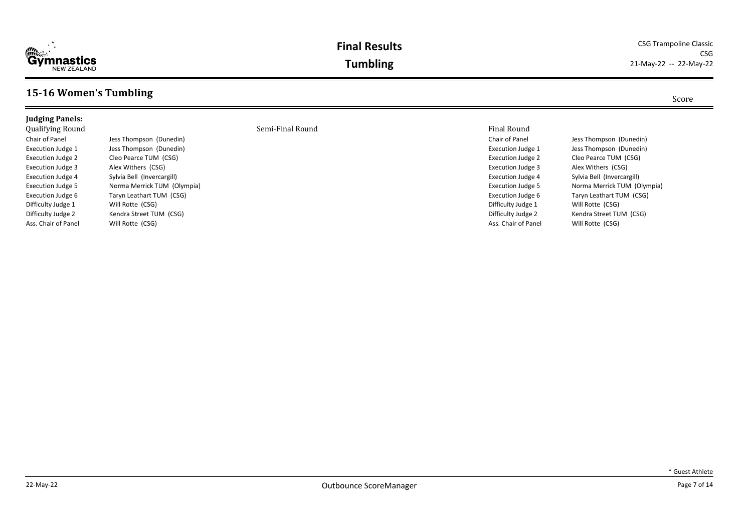

### **Final Results** CSG Trampoline Classic CSG **Tumbling** 21-May-22 -- 22-May-22

## **15-16 Women's Tumbling** Score

Ass. Chair of Panel Will Rotte (CSG)

### Qualifying Round Semi-Final Round Final Round Chair of Panel **Jess Thompson** (Dunedin) Execution Judge 1 Jess Thompson (Dunedin) Execution Judge 2 Cleo Pearce TUM (CSG) Execution Judge 3 Alex Withers (CSG) Execution Judge 4 Sylvia Bell (Invercargill) Execution Judge 5 Norma Merrick TUM (Olympia) Execution Judge 6 Taryn Leathart TUM (CSG) Difficulty Judge 1 Will Rotte (CSG) Difficulty Judge 2 Kendra Street TUM (CSG)

Execution Judge 2 Cleo Pearce TUM (CSG) Execution Judge 3 Alex Withers (CSG) Execution Judge 4 Sylvia Bell (Invercargill) Difficulty Judge 1 Will Rotte (CSG) Ass. Chair of Panel Will Rotte (CSG)

Chair of Panel Jess Thompson (Dunedin) Execution Judge 1 Jess Thompson (Dunedin) Execution Judge 5 Norma Merrick TUM (Olympia) Execution Judge 6 Taryn Leathart TUM (CSG) Difficulty Judge 2 Kendra Street TUM (CSG)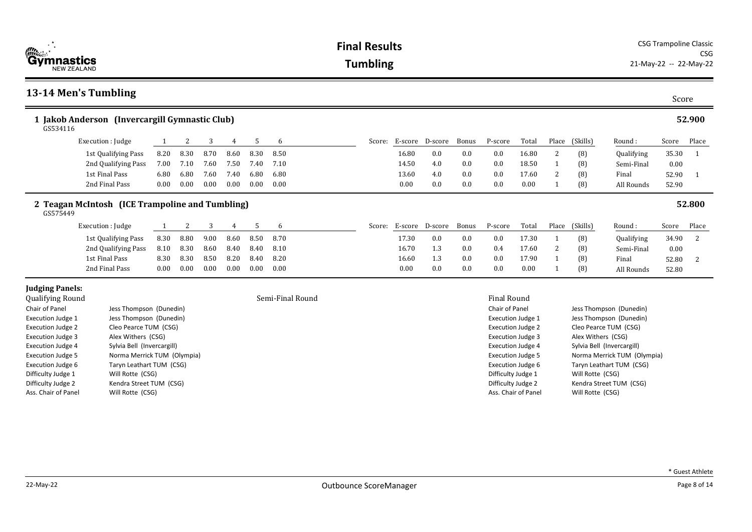| (世話)<br><b>'Gymnastics</b><br><b>NEW ZEALAND</b>           |                                                 |      | <b>CSG Trampoline Classic</b><br><b>Final Results</b><br><b>Tumbling</b><br>21-May-22 -- 22-May-22 |      |      |      |                  |  |        |                 |     |       |                    |                          |              |                    |                             |       |        |
|------------------------------------------------------------|-------------------------------------------------|------|----------------------------------------------------------------------------------------------------|------|------|------|------------------|--|--------|-----------------|-----|-------|--------------------|--------------------------|--------------|--------------------|-----------------------------|-------|--------|
|                                                            | 13-14 Men's Tumbling                            |      |                                                                                                    |      |      |      |                  |  |        |                 |     |       |                    |                          |              |                    |                             | Score |        |
| 1 Jakob Anderson (Invercargill Gymnastic Club)<br>GS534116 |                                                 |      |                                                                                                    |      |      |      |                  |  |        |                 |     |       |                    |                          | 52.900       |                    |                             |       |        |
|                                                            | Execution : Judge                               | 1    | 2                                                                                                  | 3    | 4    | 5    | 6                |  | Score: | E-score D-score |     | Bonus | P-score            | Total                    | Place        | (Skills)           | Round:                      | Score | Place  |
|                                                            | 1st Qualifying Pass                             | 8.20 | 8.30                                                                                               | 8.70 | 8.60 | 8.30 | 8.50             |  |        | 16.80           | 0.0 | 0.0   | 0.0                | 16.80                    | 2            | (8)                | Qualifying                  | 35.30 |        |
|                                                            | 2nd Qualifying Pass                             | 7.00 | 7.10                                                                                               | 7.60 | 7.50 | 7.40 | 7.10             |  |        | 14.50           | 4.0 | 0.0   | 0.0                | 18.50                    | $\mathbf{1}$ | (8)                | Semi-Final                  | 0.00  |        |
|                                                            | 1st Final Pass                                  | 6.80 | 6.80                                                                                               | 7.60 | 7.40 | 6.80 | 6.80             |  |        | 13.60           | 4.0 | 0.0   | 0.0                | 17.60                    | 2            | (8)                | Final                       | 52.90 | -1     |
|                                                            | 2nd Final Pass                                  | 0.00 | 0.00                                                                                               | 0.00 | 0.00 | 0.00 | 0.00             |  |        | 0.00            | 0.0 | 0.0   | 0.0                | 0.00                     | -1           | (8)                | All Rounds                  | 52.90 |        |
| GS575449                                                   | 2 Teagan McIntosh (ICE Trampoline and Tumbling) |      |                                                                                                    |      |      |      |                  |  |        |                 |     |       |                    |                          |              |                    |                             |       | 52.800 |
|                                                            | Execution : Judge                               | 1    | 2                                                                                                  | 3    | 4    | 5    | 6                |  | Score: | E-score D-score |     | Bonus | P-score            | Total                    | Place        | (Skills)           | Round:                      | Score | Place  |
|                                                            | 1st Qualifying Pass                             | 8.30 | 8.80                                                                                               | 9.00 | 8.60 | 8.50 | 8.70             |  |        | 17.30           | 0.0 | 0.0   | 0.0                | 17.30                    | -1           | (8)                | Qualifying                  | 34.90 | 2      |
|                                                            | 2nd Qualifying Pass                             | 8.10 | 8.30                                                                                               | 8.60 | 8.40 | 8.40 | 8.10             |  |        | 16.70           | 1.3 | 0.0   | 0.4                | 17.60                    | 2            | (8)                | Semi-Final                  | 0.00  |        |
|                                                            | 1st Final Pass                                  | 8.30 | 8.30                                                                                               | 8.50 | 8.20 | 8.40 | 8.20             |  |        | 16.60           | 1.3 | 0.0   | 0.0                | 17.90                    |              | (8)                | Final                       | 52.80 | 2      |
|                                                            | 2nd Final Pass                                  | 0.00 | 0.00                                                                                               | 0.00 | 0.00 | 0.00 | 0.00             |  |        | 0.00            | 0.0 | 0.0   | 0.0                | 0.00                     | -1           | (8)                | All Rounds                  | 52.80 |        |
| <b>Judging Panels:</b><br><b>Qualifying Round</b>          |                                                 |      |                                                                                                    |      |      |      | Semi-Final Round |  |        |                 |     |       | Final Round        |                          |              |                    |                             |       |        |
| Chair of Panel                                             | Jess Thompson (Dunedin)                         |      |                                                                                                    |      |      |      |                  |  |        |                 |     |       | Chair of Panel     |                          |              |                    | Jess Thompson (Dunedin)     |       |        |
| <b>Execution Judge 1</b>                                   | Jess Thompson (Dunedin)                         |      |                                                                                                    |      |      |      |                  |  |        |                 |     |       |                    | <b>Execution Judge 1</b> |              |                    | Jess Thompson (Dunedin)     |       |        |
| <b>Execution Judge 2</b>                                   | Cleo Pearce TUM (CSG)                           |      |                                                                                                    |      |      |      |                  |  |        |                 |     |       |                    | <b>Execution Judge 2</b> |              |                    | Cleo Pearce TUM (CSG)       |       |        |
| <b>Execution Judge 3</b>                                   | Alex Withers (CSG)                              |      |                                                                                                    |      |      |      |                  |  |        |                 |     |       |                    | <b>Execution Judge 3</b> |              | Alex Withers (CSG) |                             |       |        |
| <b>Execution Judge 4</b>                                   | Sylvia Bell (Invercargill)                      |      |                                                                                                    |      |      |      |                  |  |        |                 |     |       |                    | <b>Execution Judge 4</b> |              |                    | Sylvia Bell (Invercargill)  |       |        |
| <b>Execution Judge 5</b>                                   | Norma Merrick TUM (Olympia)                     |      |                                                                                                    |      |      |      |                  |  |        |                 |     |       |                    | <b>Execution Judge 5</b> |              |                    | Norma Merrick TUM (Olympia) |       |        |
| <b>Execution Judge 6</b><br>Difficulty Judge 1             | Taryn Leathart TUM (CSG)<br>Will Rotte (CSG)    |      |                                                                                                    |      |      |      |                  |  |        |                 |     |       | Difficulty Judge 1 | <b>Execution Judge 6</b> |              | Will Rotte (CSG)   | Taryn Leathart TUM (CSG)    |       |        |
|                                                            |                                                 |      |                                                                                                    |      |      |      |                  |  |        |                 |     |       |                    |                          |              |                    |                             |       |        |

Difficulty Judge 2 Kendra Street TUM (CSG) Ass. Chair of Panel Will Rotte (CSG)

Difficulty Judge 2 Kendra Street TUM (CSG) Ass. Chair of Panel Will Rotte (CSG)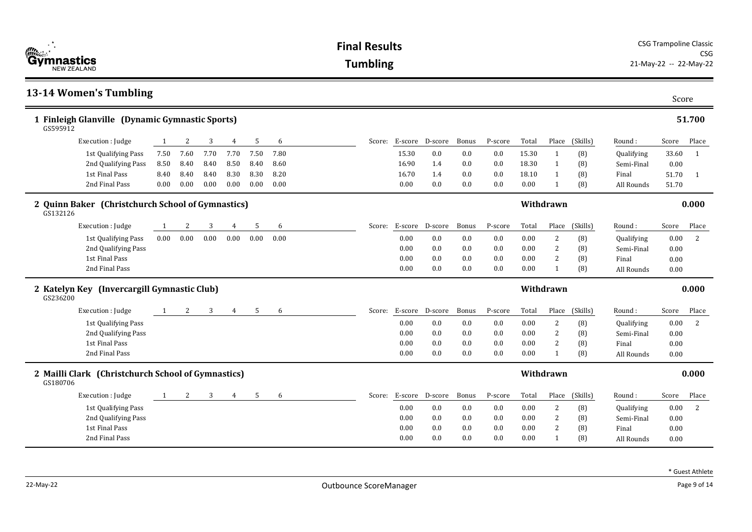| <b>Example 1</b><br><b>Gymnastics</b>                          | <b>Final Results</b> |      |      | <b>CSG Trampoline Classic</b><br><b>CSG</b> |          |          |        |                |                 |                        |         |       |                |          |            |       |              |
|----------------------------------------------------------------|----------------------|------|------|---------------------------------------------|----------|----------|--------|----------------|-----------------|------------------------|---------|-------|----------------|----------|------------|-------|--------------|
| <b>NEW ZEALAND</b>                                             | <b>Tumbling</b>      |      |      |                                             |          |          |        |                |                 | 21-May-22 -- 22-May-22 |         |       |                |          |            |       |              |
| 13-14 Women's Tumbling                                         |                      |      |      |                                             |          |          |        |                |                 |                        |         |       |                |          |            | Score |              |
| 1 Finleigh Glanville (Dynamic Gymnastic Sports)<br>GS595912    |                      |      |      |                                             |          |          |        |                |                 |                        |         |       |                |          |            |       | 51.700       |
| Execution : Judge                                              | 1                    | 2    | 3    | 4                                           | 5        | 6        | Score: |                | E-score D-score | Bonus                  | P-score | Total | Place          | (Skills) | Round:     | Score | Place        |
| 1st Qualifying Pass                                            | 7.50                 | 7.60 | 7.70 | 7.70                                        | 7.50     | 7.80     |        | 15.30          | 0.0             | 0.0                    | 0.0     | 15.30 | $\mathbf{1}$   | (8)      | Qualifying | 33.60 | 1            |
| 2nd Qualifying Pass                                            | 8.50                 | 8.40 | 8.40 | 8.50                                        | 8.40     | 8.60     |        | 16.90          | 1.4             | 0.0                    | 0.0     | 18.30 | 1              | (8)      | Semi-Final | 0.00  |              |
| 1st Final Pass                                                 | 8.40                 | 8.40 | 8.40 | 8.30                                        | 8.30     | 8.20     |        | 16.70          | 1.4             | 0.0                    | 0.0     | 18.10 | 1              | (8)      | Final      | 51.70 | $\mathbf{1}$ |
| 2nd Final Pass                                                 | 0.00                 | 0.00 | 0.00 | 0.00                                        | 0.00     | 0.00     |        | 0.00           | 0.0             | 0.0                    | 0.0     | 0.00  | $\mathbf{1}$   | (8)      | All Rounds | 51.70 |              |
| 2 Quinn Baker (Christchurch School of Gymnastics)<br>GS132126  |                      |      |      |                                             |          |          |        |                |                 |                        |         |       | Withdrawn      |          |            |       | 0.000        |
| Execution : Judge                                              | 1                    | 2    | 3    | 4                                           | 5        | 6        | Score: |                | E-score D-score | Bonus                  | P-score | Total | Place          | (Skills) | Round:     | Score | Place        |
| 1st Qualifying Pass                                            | 0.00                 | 0.00 | 0.00 | 0.00                                        | $0.00\,$ | $0.00\,$ |        | 0.00           | 0.0             | 0.0                    | 0.0     | 0.00  | $\overline{c}$ | (8)      | Qualifying | 0.00  | 2            |
| 2nd Qualifying Pass                                            |                      |      |      |                                             |          |          |        | 0.00           | 0.0             | 0.0                    | 0.0     | 0.00  | 2              | (8)      | Semi-Final | 0.00  |              |
| 1st Final Pass                                                 |                      |      |      |                                             |          |          |        | 0.00           | 0.0             | 0.0                    | 0.0     | 0.00  | $\overline{2}$ | (8)      | Final      | 0.00  |              |
| 2nd Final Pass                                                 |                      |      |      |                                             |          |          |        | 0.00           | 0.0             | 0.0                    | 0.0     | 0.00  | 1              | (8)      | All Rounds | 0.00  |              |
| 2 Katelyn Key (Invercargill Gymnastic Club)<br>GS236200        |                      |      |      |                                             |          |          |        |                |                 |                        |         |       | Withdrawn      |          |            |       | 0.000        |
| Execution : Judge                                              | 1                    | 2    | 3    | 4                                           | 5        | 6        | Score: |                | E-score D-score | Bonus                  | P-score | Total | Place          | (Skills) | Round:     | Score | Place        |
| 1st Qualifying Pass                                            |                      |      |      |                                             |          |          |        | 0.00           | 0.0             | 0.0                    | 0.0     | 0.00  | 2              | (8)      | Qualifying | 0.00  | 2            |
| 2nd Qualifying Pass                                            |                      |      |      |                                             |          |          |        | 0.00           | 0.0             | 0.0                    | 0.0     | 0.00  | 2              | (8)      | Semi-Final | 0.00  |              |
| 1st Final Pass                                                 |                      |      |      |                                             |          |          |        | 0.00           | 0.0             | 0.0                    | 0.0     | 0.00  | 2              | (8)      | Final      | 0.00  |              |
| 2nd Final Pass                                                 |                      |      |      |                                             |          |          |        | 0.00           | 0.0             | 0.0                    | 0.0     | 0.00  | $\mathbf{1}$   | (8)      | All Rounds | 0.00  |              |
| 2 Mailli Clark (Christchurch School of Gymnastics)<br>GS180706 |                      |      |      |                                             |          |          |        |                |                 |                        |         |       | Withdrawn      |          |            |       | 0.000        |
| Execution : Judge                                              | 1                    | 2    | 3    | 4                                           | 5        | 6        |        | Score: E-score | D-score         | Bonus                  | P-score | Total | Place          | (Skills) | Round:     | Score | Place        |
| 1st Qualifying Pass                                            |                      |      |      |                                             |          |          |        | 0.00           | 0.0             | 0.0                    | 0.0     | 0.00  | $\overline{c}$ | (8)      | Qualifying | 0.00  | 2            |
| 2nd Qualifying Pass                                            |                      |      |      |                                             |          |          |        | 0.00           | 0.0             | 0.0                    | 0.0     | 0.00  | 2              | (8)      | Semi-Final | 0.00  |              |
| 1st Final Pass                                                 |                      |      |      |                                             |          |          |        | 0.00           | 0.0             | 0.0                    | 0.0     | 0.00  | 2              | (8)      | Final      | 0.00  |              |
| 2nd Final Pass                                                 |                      |      |      |                                             |          |          |        | 0.00           | 0.0             | 0.0                    | 0.0     | 0.00  | 1              | (8)      | All Rounds | 0.00  |              |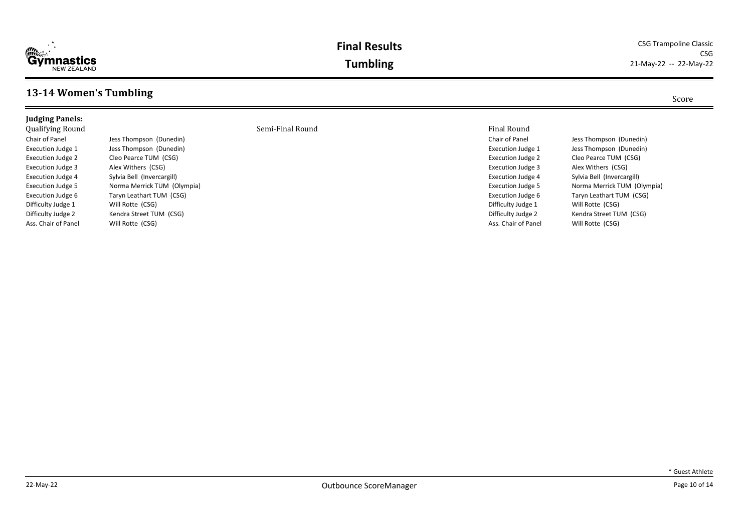

### **Final Results** CSG Trampoline Classic CSG **Tumbling** 21-May-22 -- 22-May-22

## **13-14 Women's Tumbling** Score

Ass. Chair of Panel Will Rotte (CSG)

### Qualifying Round Semi-Final Round Final Round Chair of Panel **Jess Thompson** (Dunedin) Execution Judge 1 Jess Thompson (Dunedin) Execution Judge 2 Cleo Pearce TUM (CSG) Execution Judge 3 Alex Withers (CSG) Execution Judge 4 Sylvia Bell (Invercargill) Execution Judge 5 Norma Merrick TUM (Olympia) Execution Judge 6 Taryn Leathart TUM (CSG) Difficulty Judge 1 Will Rotte (CSG)

Difficulty Judge 2 Kendra Street TUM (CSG)

Execution Judge 2 Cleo Pearce TUM (CSG) Execution Judge 3 Alex Withers (CSG) Execution Judge 4 Sylvia Bell (Invercargill) Difficulty Judge 1 Will Rotte (CSG) Ass. Chair of Panel Will Rotte (CSG)

Chair of Panel Jess Thompson (Dunedin) Execution Judge 1 Jess Thompson (Dunedin) Execution Judge 5 Norma Merrick TUM (Olympia) Execution Judge 6 Taryn Leathart TUM (CSG) Difficulty Judge 2 Kendra Street TUM (CSG)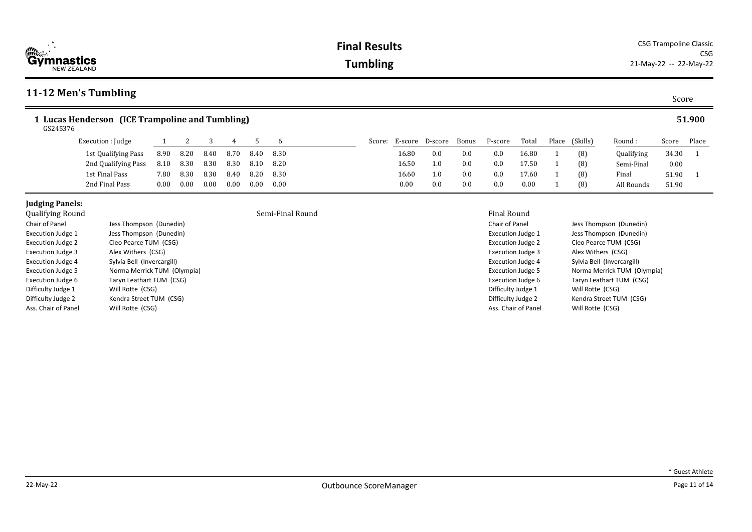| 11-12 Men's Tumbling                                        |      |      |      |      |      |      |  |        |       |                 |       |         |       |  |                |            | Score    |        |
|-------------------------------------------------------------|------|------|------|------|------|------|--|--------|-------|-----------------|-------|---------|-------|--|----------------|------------|----------|--------|
| 1 Lucas Henderson (ICE Trampoline and Tumbling)<br>GS245376 |      |      |      |      |      |      |  |        |       |                 |       |         |       |  |                |            |          | 51.900 |
| Execution : Judge                                           |      |      |      |      |      |      |  | Score: |       | E-score D-score | Bonus | P-score | Total |  | Place (Skills) | Round:     | Score    | Place  |
| 1st Qualifying Pass                                         | 8.90 | 8.20 | 8.40 | 8.70 | 8.40 | 8.30 |  |        | 16.80 | 0.0             | 0.0   | 0.0     | 16.80 |  | (8)            | Qualifying | 34.30 1  |        |
| 2nd Qualifying Pass                                         | 8.10 | 8.30 | 8.30 | 8.30 | 8.10 | 8.20 |  |        | 16.50 | 1.0             | 0.0   | 0.0     | 17.50 |  | (8)            | Semi-Final | $0.00\,$ |        |
| 1st Final Pass                                              | 7.80 | 8.30 | 8.30 | 8.40 | 8.20 | 8.30 |  |        | 16.60 | 1.0             | 0.0   | 0.0     | 17.60 |  | (8)            | Final      | 51.90 1  |        |
| 2nd Final Pass                                              | 0.00 | 0.00 | 0.00 | 0.00 | 0.00 | 0.00 |  |        | 0.00  | 0.0             | 0.0   | 0.0     | 0.00  |  | (8)            | All Rounds | 51.90    |        |

**ymnastics**<br>NEW ZEALAND

| Qualitying Round         |                             |
|--------------------------|-----------------------------|
| Chair of Panel           | Jess Thompson (Dunedin)     |
| <b>Execution Judge 1</b> | Jess Thompson (Dunedin)     |
| <b>Execution Judge 2</b> | Cleo Pearce TUM (CSG)       |
| <b>Execution Judge 3</b> | Alex Withers (CSG)          |
| <b>Execution Judge 4</b> | Sylvia Bell (Invercargill)  |
| <b>Execution Judge 5</b> | Norma Merrick TUM (Olympia) |
| <b>Execution Judge 6</b> | Taryn Leathart TUM (CSG)    |
| Difficulty Judge 1       | Will Rotte (CSG)            |
| Difficulty Judge 2       | Kendra Street TUM (CSG)     |
| Ass. Chair of Panel      | Will Rotte (CSG)            |

## Semi-Final Round **Final Round** Final Round Final Round

Chair of Panel Jess Thompson (Dunedin) Execution Judge 1 Jess Thompson (Dunedin) Execution Judge 2 Cleo Pearce TUM (CSG) Execution Judge 3 Alex Withers (CSG) Execution Judge 4 Sylvia Bell (Invercargill) Execution Judge 5 Norma Merrick TUM (Olympia) Execution Judge 6 Taryn Leathart TUM (CSG) Difficulty Judge 1 Will Rotte (CSG) Difficulty Judge 2 Kendra Street TUM (CSG) Ass. Chair of Panel Will Rotte (CSG)

\* Guest Athlete

Score Place 34.30 1 0.00 51.90 1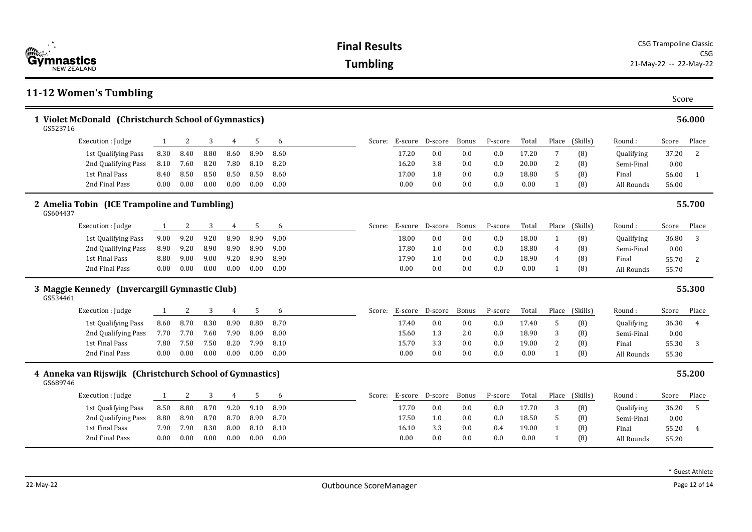| 11-12 Women's Tumbling                                                |      |      |      |                |      |      |        |         |                 |       |         |       |                | Score    |            |       |                |
|-----------------------------------------------------------------------|------|------|------|----------------|------|------|--------|---------|-----------------|-------|---------|-------|----------------|----------|------------|-------|----------------|
| 1 Violet McDonald (Christchurch School of Gymnastics)<br>GS523716     |      |      |      |                |      |      |        |         |                 |       |         |       |                |          |            |       | 56.000         |
| Execution : Judge                                                     | 1    | 2    | 3    | $\overline{4}$ | 5    | 6    | Score: |         | E-score D-score | Bonus | P-score | Total | Place          | (Skills) | Round:     | Score | Place          |
| 1st Qualifying Pass                                                   | 8.30 | 8.40 | 8.80 | 8.60           | 8.90 | 8.60 |        | 17.20   | 0.0             | 0.0   | 0.0     | 17.20 | 7              | (8)      | Qualifying | 37.20 | 2              |
| 2nd Qualifying Pass                                                   | 8.10 | 7.60 | 8.20 | 7.80           | 8.10 | 8.20 |        | 16.20   | 3.8             | 0.0   | 0.0     | 20.00 | 2              | (8)      | Semi-Final | 0.00  |                |
| 1st Final Pass                                                        | 8.40 | 8.50 | 8.50 | 8.50           | 8.50 | 8.60 |        | 17.00   | 1.8             | 0.0   | 0.0     | 18.80 | 5              | (8)      | Final      | 56.00 | -1             |
| 2nd Final Pass                                                        | 0.00 | 0.00 | 0.00 | 0.00           | 0.00 | 0.00 |        | 0.00    | 0.0             | 0.0   | 0.0     | 0.00  | $\mathbf{1}$   | (8)      | All Rounds | 56.00 |                |
| 2 Amelia Tobin (ICE Trampoline and Tumbling)<br>GS604437              |      |      |      |                |      |      |        |         |                 |       |         |       |                |          |            |       | 55.700         |
| Execution : Judge                                                     | 1    | 2    | 3    | 4              | 5    | 6    | Score: |         | E-score D-score | Bonus | P-score | Total | Place          | (Skills) | Round:     | Score | Place          |
| 1st Qualifying Pass                                                   | 9.00 | 9.20 | 9.20 | 8.90           | 8.90 | 9.00 |        | 18.00   | 0.0             | 0.0   | 0.0     | 18.00 | $\mathbf{1}$   | (8)      | Qualifying | 36.80 | 3              |
| 2nd Qualifying Pass                                                   | 8.90 | 9.20 | 8.90 | 8.90           | 8.90 | 9.00 |        | 17.80   | 1.0             | 0.0   | 0.0     | 18.80 | $\overline{4}$ | (8)      | Semi-Final | 0.00  |                |
| 1st Final Pass                                                        | 8.80 | 9.00 | 9.00 | 9.20           | 8.90 | 8.90 |        | 17.90   | 1.0             | 0.0   | 0.0     | 18.90 | 4              | (8)      | Final      | 55.70 | 2              |
| 2nd Final Pass                                                        | 0.00 | 0.00 | 0.00 | 0.00           | 0.00 | 0.00 |        | 0.00    | 0.0             | 0.0   | 0.0     | 0.00  | $\mathbf{1}$   | (8)      | All Rounds | 55.70 |                |
| 3 Maggie Kennedy (Invercargill Gymnastic Club)<br>GS534461            |      |      |      |                |      |      |        |         |                 |       |         |       |                |          |            |       | 55.300         |
| Execution : Judge                                                     | 1    | 2    | 3    | $\overline{4}$ | 5    | 6    | Score: | E-score | D-score         | Bonus | P-score | Total | Place          | (Skills) | Round:     | Score | Place          |
| 1st Qualifying Pass                                                   | 8.60 | 8.70 | 8.30 | 8.90           | 8.80 | 8.70 |        | 17.40   | 0.0             | 0.0   | 0.0     | 17.40 | 5              | (8)      | Qualifying | 36.30 | $\overline{4}$ |
| 2nd Qualifying Pass                                                   | 7.70 | 7.70 | 7.60 | 7.90           | 8.00 | 8.00 |        | 15.60   | 1.3             | 2.0   | 0.0     | 18.90 | 3              | (8)      | Semi-Final | 0.00  |                |
| 1st Final Pass                                                        | 7.80 | 7.50 | 7.50 | 8.20           | 7.90 | 8.10 |        | 15.70   | 3.3             | 0.0   | 0.0     | 19.00 | 2              | (8)      | Final      | 55.30 | 3              |
| 2nd Final Pass                                                        | 0.00 | 0.00 | 0.00 | 0.00           | 0.00 | 0.00 |        | 0.00    | 0.0             | 0.0   | 0.0     | 0.00  | $\mathbf{1}$   | (8)      | All Rounds | 55.30 |                |
| 4 Anneka van Rijswijk (Christchurch School of Gymnastics)<br>GS689746 |      |      |      |                |      |      |        |         |                 |       |         |       |                |          |            |       | 55.200         |
| Execution : Judge                                                     | 1    | 2    | 3    | 4              | 5    | 6    | Score: |         | E-score D-score | Bonus | P-score | Total | Place          | (Skills) | Round:     | Score | Place          |
| 1st Qualifying Pass                                                   | 8.50 | 8.80 | 8.70 | 9.20           | 9.10 | 8.90 |        | 17.70   | 0.0             | 0.0   | 0.0     | 17.70 | 3              | (8)      | Qualifying | 36.20 | 5              |
| 2nd Qualifying Pass                                                   | 8.80 | 8.90 | 8.70 | 8.70           | 8.90 | 8.70 |        | 17.50   | 1.0             | 0.0   | 0.0     | 18.50 | 5              | (8)      | Semi-Final | 0.00  |                |
| 1st Final Pass                                                        | 7.90 | 7.90 | 8.30 | 8.00           | 8.10 | 8.10 |        | 16.10   | 3.3             | 0.0   | 0.4     | 19.00 | $\mathbf{1}$   | (8)      | Final      | 55.20 | $\overline{4}$ |
| 2nd Final Pass                                                        | 0.00 | 0.00 | 0.00 | 0.00           | 0.00 | 0.00 |        | 0.00    | 0.0             | 0.0   | 0.0     | 0.00  | $\mathbf{1}$   | (8)      | All Rounds | 55.20 |                |

\* Guest Athlete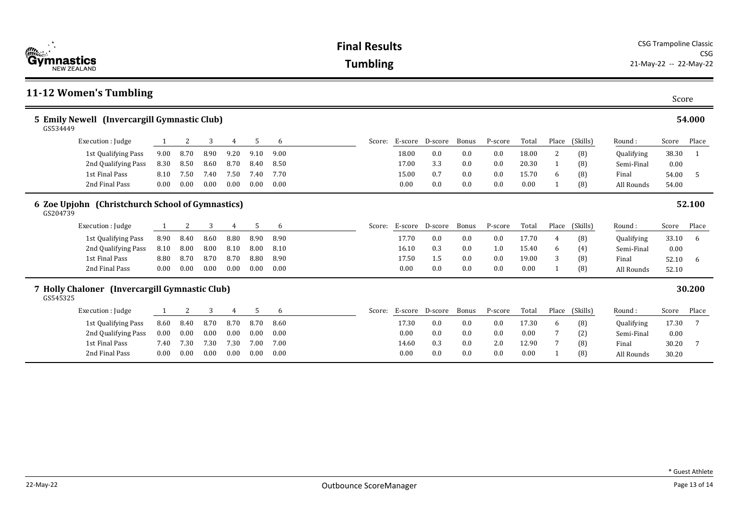| $\frac{m}{\frac{1}{2}}$<br>Gymnastics<br><b>NEW ZEALAND</b>  |                     |      |      |      |      |      |      |  | <b>Final Results</b><br><b>Tumbling</b> |         |                 |       |         |       |                |          |            |       | <b>CSG Trampoline Classic</b><br>CSG<br>21-May-22 -- 22-May-22 |  |  |  |  |
|--------------------------------------------------------------|---------------------|------|------|------|------|------|------|--|-----------------------------------------|---------|-----------------|-------|---------|-------|----------------|----------|------------|-------|----------------------------------------------------------------|--|--|--|--|
| 11-12 Women's Tumbling                                       |                     |      |      |      |      |      |      |  |                                         |         |                 |       |         |       |                |          |            | Score |                                                                |  |  |  |  |
| 5 Emily Newell (Invercargill Gymnastic Club)<br>GS534449     |                     |      |      |      |      |      |      |  |                                         |         |                 |       |         |       |                |          |            |       | 54.000                                                         |  |  |  |  |
|                                                              | Execution : Judge   |      | 2    | 3    | 4    | 5    | 6    |  | Score:                                  |         | E-score D-score | Bonus | P-score | Total | Place          | (Skills) | Round:     | Score | Place                                                          |  |  |  |  |
|                                                              | 1st Qualifying Pass | 9.00 | 8.70 | 8.90 | 9.20 | 9.10 | 9.00 |  |                                         | 18.00   | 0.0             | 0.0   | 0.0     | 18.00 | $\overline{2}$ | (8)      | Qualifying | 38.30 | -1                                                             |  |  |  |  |
|                                                              | 2nd Qualifying Pass | 8.30 | 8.50 | 8.60 | 8.70 | 8.40 | 8.50 |  |                                         | 17.00   | 3.3             | 0.0   | 0.0     | 20.30 |                | (8)      | Semi-Final | 0.00  |                                                                |  |  |  |  |
|                                                              | 1st Final Pass      | 8.10 | 7.50 | 7.40 | 7.50 | 7.40 | 7.70 |  |                                         | 15.00   | 0.7             | 0.0   | 0.0     | 15.70 | 6              | (8)      | Final      | 54.00 | 5                                                              |  |  |  |  |
|                                                              | 2nd Final Pass      | 0.00 | 0.00 | 0.00 | 0.00 | 0.00 | 0.00 |  |                                         | 0.00    | 0.0             | 0.0   | 0.0     | 0.00  |                | (8)      | All Rounds | 54.00 |                                                                |  |  |  |  |
| 6 Zoe Upjohn (Christchurch School of Gymnastics)<br>GS204739 |                     |      |      |      |      |      |      |  |                                         |         |                 |       |         |       |                |          |            |       | 52.100                                                         |  |  |  |  |
|                                                              | Execution : Judge   |      | 2    | 3    | 4    | 5    | 6    |  | Score:                                  |         | E-score D-score | Bonus | P-score | Total | Place          | (Skills) | Round:     | Score | Place                                                          |  |  |  |  |
|                                                              | 1st Qualifying Pass | 8.90 | 8.40 | 8.60 | 8.80 | 8.90 | 8.90 |  |                                         | 17.70   | 0.0             | 0.0   | 0.0     | 17.70 | 4              | (8)      | Qualifying | 33.10 | 6                                                              |  |  |  |  |
|                                                              | 2nd Qualifying Pass | 8.10 | 8.00 | 8.00 | 8.10 | 8.00 | 8.10 |  |                                         | 16.10   | 0.3             | 0.0   | 1.0     | 15.40 | 6              | (4)      | Semi-Final | 0.00  |                                                                |  |  |  |  |
|                                                              | 1st Final Pass      | 8.80 | 8.70 | 8.70 | 8.70 | 8.80 | 8.90 |  |                                         | 17.50   | 1.5             | 0.0   | 0.0     | 19.00 | 3              | (8)      | Final      | 52.10 | 6                                                              |  |  |  |  |
|                                                              | 2nd Final Pass      | 0.00 | 0.00 | 0.00 | 0.00 | 0.00 | 0.00 |  |                                         | 0.00    | 0.0             | 0.0   | 0.0     | 0.00  |                | (8)      | All Rounds | 52.10 |                                                                |  |  |  |  |
| 7 Holly Chaloner (Invercargill Gymnastic Club)<br>GS545325   |                     |      |      |      |      |      |      |  |                                         |         |                 |       |         |       |                |          |            |       | 30.200                                                         |  |  |  |  |
|                                                              | Execution : Judge   | 1    | 2    | 3    | 4    | 5    | 6    |  | Score:                                  | E-score | D-score         | Bonus | P-score | Total | Place          | (Skills) | Round:     | Score | Place                                                          |  |  |  |  |
|                                                              | 1st Qualifying Pass | 8.60 | 8.40 | 8.70 | 8.70 | 8.70 | 8.60 |  |                                         | 17.30   | 0.0             | 0.0   | 0.0     | 17.30 | 6              | (8)      | Qualifying | 17.30 | 7                                                              |  |  |  |  |
|                                                              | 2nd Qualifying Pass | 0.00 | 0.00 | 0.00 | 0.00 | 0.00 | 0.00 |  |                                         | 0.00    | 0.0             | 0.0   | 0.0     | 0.00  |                | (2)      | Semi-Final | 0.00  |                                                                |  |  |  |  |
|                                                              | 1st Final Pass      | 7.40 | 7.30 | 7.30 | 7.30 | 7.00 | 7.00 |  |                                         | 14.60   | 0.3             | 0.0   | 2.0     | 12.90 |                | (8)      | Final      | 30.20 | 7                                                              |  |  |  |  |
|                                                              | 2nd Final Pass      | 0.00 | 0.00 | 0.00 | 0.00 | 0.00 | 0.00 |  |                                         | 0.00    | 0.0             | 0.0   | 0.0     | 0.00  |                | (8)      | All Rounds | 30.20 |                                                                |  |  |  |  |